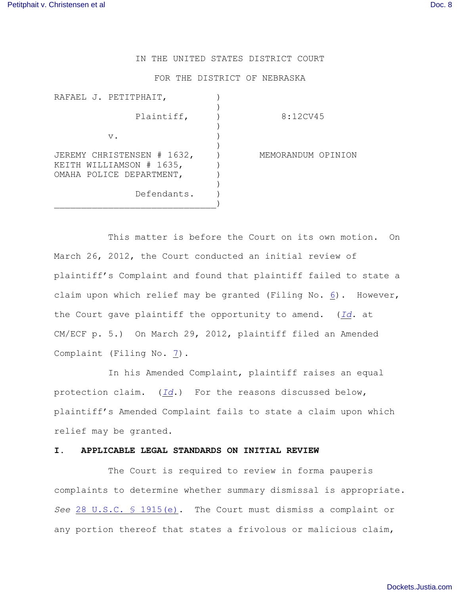## IN THE UNITED STATES DISTRICT COURT

#### FOR THE DISTRICT OF NEBRASKA

| RAFAEL J. PETITPHAIT,                                  |                    |
|--------------------------------------------------------|--------------------|
| Plaintiff,                                             | 8:12CV45           |
| $V$ .                                                  |                    |
| JEREMY CHRISTENSEN # 1632,<br>KEITH WILLIAMSON # 1635, | MEMORANDUM OPINION |
| OMAHA POLICE DEPARTMENT,                               |                    |
| Defendants.                                            |                    |

This matter is before the Court on its own motion. On March 26, 2012, the Court conducted an initial review of plaintiff's Complaint and found that plaintiff failed to state a claim upon which relief may be granted (Filing No. [6](http://ecf.ned.uscourts.gov/doc1/11302488991)). However, the Court gave plaintiff the opportunity to amend. (*[Id](https://ecf.ned.uscourts.gov/doc1/11312488991)*. at CM/ECF p. 5.) On March 29, 2012, plaintiff filed an Amended Complaint (Filing No. [7](http://ecf.ned.uscourts.gov/doc1/11302493148)).

In his Amended Complaint, plaintiff raises an equal protection claim. (*[Id](file:///|//e)*.) For the reasons discussed below, plaintiff's Amended Complaint fails to state a claim upon which relief may be granted.

# **I. APPLICABLE LEGAL STANDARDS ON INITIAL REVIEW**

The Court is required to review in forma pauperis complaints to determine whether summary dismissal is appropriate. *See* [28 U.S.C. § 1915\(e\)](http://www.westlaw.com/find/default.wl?rs=CLWP3.0&vr=2.0&cite=28+USCA+s+1915%28e%29). The Court must dismiss a complaint or any portion thereof that states a frivolous or malicious claim,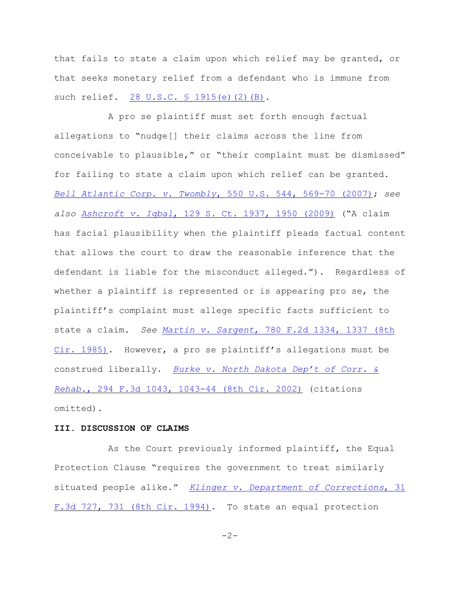that fails to state a claim upon which relief may be granted, or that seeks monetary relief from a defendant who is immune from such relief. [28 U.S.C. § 1915\(e\)\(2\)\(B\)](http://www.westlaw.com/find/default.wl?rs=CLWP3.0&vr=2.0&cite=28+USCA+s+1915%28e%29%282%29%28B%29).

A pro se plaintiff must set forth enough factual allegations to "nudge[] their claims across the line from conceivable to plausible," or "their complaint must be dismissed" for failing to state a claim upon which relief can be granted. *[Bell Atlantic Corp. v. Twombly](http://www.westlaw.com/find/default.wl?rs=CLWP3.0&vr=2.0&cite=550+U.S.+544)*, 550 U.S. 544, 569-70 (2007); *see also Ashcroft v. Iqbal*[, 129 S. Ct. 1937, 1950 \(2009\)](http://www.westlaw.com/find/default.wl?rs=CLWP3.0&vr=2.0&cite=129+S.Ct.+1937) ("A claim has facial plausibility when the plaintiff pleads factual content that allows the court to draw the reasonable inference that the defendant is liable for the misconduct alleged."). Regardless of whether a plaintiff is represented or is appearing pro se, the plaintiff's complaint must allege specific facts sufficient to state a claim. *See Martin v. Sargent*[, 780 F.2d 1334, 1337 \(8th](http://www.westlaw.com/find/default.wl?rs=CLWP3.0&vr=2.0&cite=780+F.2d+1334) [Cir. 1985\)](http://www.westlaw.com/find/default.wl?rs=CLWP3.0&vr=2.0&cite=780+F.2d+1334). However, a pro se plaintiff's allegations must be construed liberally. *[Burke v. North Dakota Dep't of Corr. &](http://www.westlaw.com/find/default.wl?rs=CLWP3.0&vr=2.0&cite=294+F.3d+1043) Rehab.*[, 294 F.3d 1043, 1043-44 \(8th Cir. 2002\)](http://www.westlaw.com/find/default.wl?rs=CLWP3.0&vr=2.0&cite=294+F.3d+1043) (citations omitted).

### **III. DISCUSSION OF CLAIMS**

As the Court previously informed plaintiff, the Equal Protection Clause "requires the government to treat similarly situated people alike." *[Klinger v. Department of Corrections](http://web2.westlaw.com/find/default.wl?cite=31+F.3d+731&rs=WLW12.01&pbc=66C1AB03&vr=2.0&rp=%2ffind%2fdefault.wl&sv=Split&fn=_top&mt=Westlaw)*, 31 [F.3d 727, 731 \(8th Cir. 1994\)](http://web2.westlaw.com/find/default.wl?cite=31+F.3d+731&rs=WLW12.01&pbc=66C1AB03&vr=2.0&rp=%2ffind%2fdefault.wl&sv=Split&fn=_top&mt=Westlaw). To state an equal protection

 $-2-$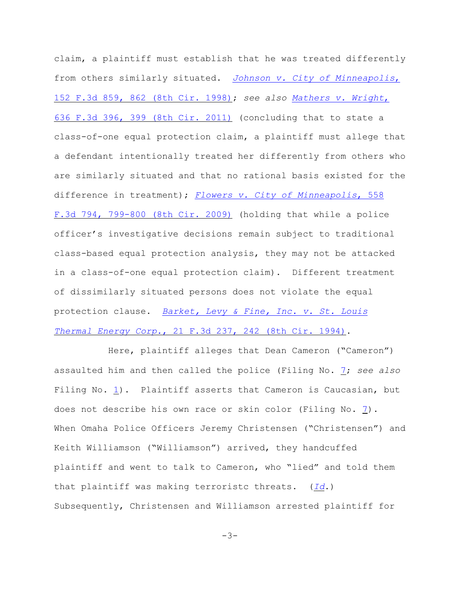claim, a plaintiff must establish that he was treated differently from others similarly situated. *[Johnson v. City of Minneapolis](http://web2.westlaw.com/find/default.wl?cite=152+F.3d+862&rs=WLW12.01&pbc=66C1AB03&vr=2.0&rp=%2ffind%2fdefault.wl&sv=Split&fn=_top&mt=Westlaw)*, [152 F.3d 859, 862 \(8th Cir. 1998\)](http://web2.westlaw.com/find/default.wl?cite=152+F.3d+862&rs=WLW12.01&pbc=66C1AB03&vr=2.0&rp=%2ffind%2fdefault.wl&sv=Split&fn=_top&mt=Westlaw); *see also [Mathers v. Wright](http://web2.westlaw.com/find/default.wl?cite=636+F.3d+399&rs=WLW12.01&pbc=66C1AB03&vr=2.0&rp=%2ffind%2fdefault.wl&sv=Split&fn=_top&mt=Westlaw)*, [636 F.3d 396, 399 \(8th Cir. 2011\)](http://web2.westlaw.com/find/default.wl?cite=636+F.3d+399&rs=WLW12.01&pbc=66C1AB03&vr=2.0&rp=%2ffind%2fdefault.wl&sv=Split&fn=_top&mt=Westlaw) (concluding that to state a class-of-one equal protection claim, a plaintiff must allege that a defendant intentionally treated her differently from others who are similarly situated and that no rational basis existed for the difference in treatment); *[Flowers v. City of Minneapolis](http://web2.westlaw.com/result/default.wl?cfid=1&mt=Westlaw&origin=Search&sskey=CLID_SSSA7862746111144&query=%22EQUAL+PROTECTION%22+%2fS+%22ARREST%22&db=CTA8&cnt=DOC&rlt=CLID_QRYRLT7418847111144&method=TNC&service=Search&eq=search&rp=%2fsearch%2fdefault.)*, 558 [F.3d 794, 799-800 \(8th Cir. 2009\)](http://web2.westlaw.com/result/default.wl?cfid=1&mt=Westlaw&origin=Search&sskey=CLID_SSSA7862746111144&query=%22EQUAL+PROTECTION%22+%2fS+%22ARREST%22&db=CTA8&cnt=DOC&rlt=CLID_QRYRLT7418847111144&method=TNC&service=Search&eq=search&rp=%2fsearch%2fdefault.) (holding that while a police officer's investigative decisions remain subject to traditional class-based equal protection analysis, they may not be attacked in a class-of-one equal protection claim). Different treatment of dissimilarly situated persons does not violate the equal protection clause. *[Barket, Levy & Fine, Inc. v. St. Louis](http://web2.westlaw.com/find/default.wl?cite=21+F.3d+242&rs=WLW12.01&pbc=66C1AB03&vr=2.0&rp=%2ffind%2fdefault.wl&sv=Split&fn=_top&mt=Westlaw) Thermal Energy Corp.*[, 21 F.3d 237, 242 \(8th Cir. 1994\)](http://web2.westlaw.com/find/default.wl?cite=21+F.3d+242&rs=WLW12.01&pbc=66C1AB03&vr=2.0&rp=%2ffind%2fdefault.wl&sv=Split&fn=_top&mt=Westlaw).

Here, plaintiff alleges that Dean Cameron ("Cameron") assaulted him and then called the police (Filing No. [7](http://ecf.ned.uscourts.gov/doc1/11302493148); *see also* Filing No. [1](https://ecf.ned.uscourts.gov/doc1/11312453902)). Plaintiff asserts that Cameron is Caucasian, but does not describe his own race or skin color (Filing No. [7](https://ecf.ned.uscourts.gov/doc1/11312493148)). When Omaha Police Officers Jeremy Christensen ("Christensen") and Keith Williamson ("Williamson") arrived, they handcuffed plaintiff and went to talk to Cameron, who "lied" and told them that plaintiff was making terroristc threats. (*[Id](https://ecf.ned.uscourts.gov/doc1/11312493148)*.) Subsequently, Christensen and Williamson arrested plaintiff for

 $-3-$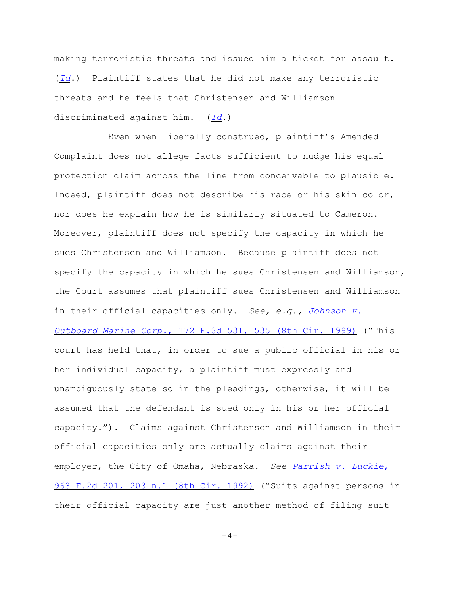making terroristic threats and issued him a ticket for assault. (*[Id](https://ecf.ned.uscourts.gov/doc1/11312493148)*.) Plaintiff states that he did not make any terroristic threats and he feels that Christensen and Williamson discriminated against him. (*[Id](https://ecf.ned.uscourts.gov/doc1/11312493148)*.)

Even when liberally construed, plaintiff's Amended Complaint does not allege facts sufficient to nudge his equal protection claim across the line from conceivable to plausible. Indeed, plaintiff does not describe his race or his skin color, nor does he explain how he is similarly situated to Cameron. Moreover, plaintiff does not specify the capacity in which he sues Christensen and Williamson. Because plaintiff does not specify the capacity in which he sues Christensen and Williamson, the Court assumes that plaintiff sues Christensen and Williamson in their official capacities only. *See, e.g., [Johnson v.](http://www.westlaw.com/find/default.wl?rs=CLWP3.0&vr=2.0&cite=172+F.3d+535) Outboard Marine Corp.*[, 172 F.3d 531, 535 \(8th Cir. 1999\)](http://www.westlaw.com/find/default.wl?rs=CLWP3.0&vr=2.0&cite=172+F.3d+535) ("This court has held that, in order to sue a public official in his or her individual capacity, a plaintiff must expressly and unambiguously state so in the pleadings, otherwise, it will be assumed that the defendant is sued only in his or her official capacity."). Claims against Christensen and Williamson in their official capacities only are actually claims against their employer, the City of Omaha, Nebraska. *See [Parrish v. Luckie](http://www.westlaw.com/find/default.wl?rs=CLWP3.0&vr=2.0&cite=963+F.2d+201)*, [963 F.2d 201, 203 n.1 \(8th Cir. 1992\)](http://www.westlaw.com/find/default.wl?rs=CLWP3.0&vr=2.0&cite=963+F.2d+201) ("Suits against persons in their official capacity are just another method of filing suit

 $-4-$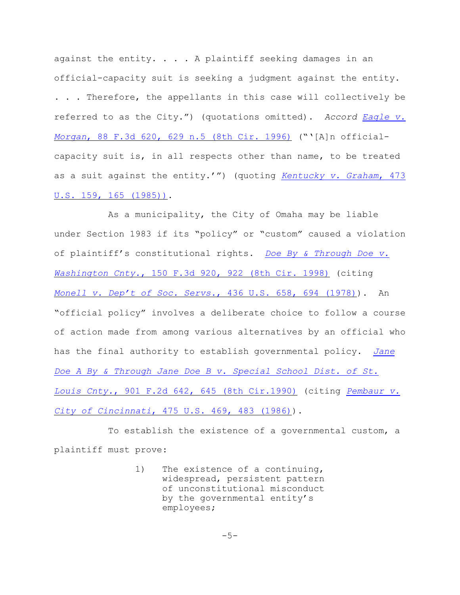against the entity. . . . A plaintiff seeking damages in an official-capacity suit is seeking a judgment against the entity. . . . Therefore, the appellants in this case will collectively be referred to as the City.") (quotations omitted). *Accord [Eagle v.](http://web2.westlaw.com/find/default.wl?rs=CLWP3.0&vr=2.0&cite=88+F.3d+620&ssl=n) Morgan*[, 88 F.3d 620, 629 n.5 \(8th Cir. 1996\)](http://web2.westlaw.com/find/default.wl?rs=CLWP3.0&vr=2.0&cite=88+F.3d+620&ssl=n) ("'[A]n officialcapacity suit is, in all respects other than name, to be treated as a suit against the entity.'") (quoting *[Kentucky v. Graham](http://web2.westlaw.com/find/default.wl?tf=-1&rs=WLW8.05&referencepositiontype=S&serialnum=1985133039&fn=_top&findtype=Y&tc=-1&referenceposition=3105&db=708&vr=2.0&rp=%2ffind%2fdefault.wl&RLT=CLID_FQRLT6212136&TF=756&TC=1&n=1)*, 473 [U.S. 159, 165 \(1985\)\)](http://web2.westlaw.com/find/default.wl?tf=-1&rs=WLW8.05&referencepositiontype=S&serialnum=1985133039&fn=_top&findtype=Y&tc=-1&referenceposition=3105&db=708&vr=2.0&rp=%2ffind%2fdefault.wl&RLT=CLID_FQRLT6212136&TF=756&TC=1&n=1).

As a municipality, the City of Omaha may be liable under Section 1983 if its "policy" or "custom" caused a violation of plaintiff's constitutional rights. *[Doe By & Through Doe v.](http://www.westlaw.com/find/default.wl?rs=CLWP3.0&vr=2.0&cite=150+F.3d+920) Washington Cnty.*[, 150 F.3d 920, 922 \(8th Cir. 1998\)](http://www.westlaw.com/find/default.wl?rs=CLWP3.0&vr=2.0&cite=150+F.3d+920) (citing *[Monell v. Dep't of Soc. Servs.](http://web2.westlaw.com/find/default.wl?rs=WLW8.05&serialnum=1978114250&fn=_top&sv=Split&tc=-1&findtype=Y&tf=-1&db=708&vr=2.0&rp=%2ffind%2fdefault.wl&mt=FederalGovernment&RLT=CLID_FQRLT21411036&TF=756&TC=1&n=1)*, 436 U.S. 658, 694 (1978)). An "official policy" involves a deliberate choice to follow a course of action made from among various alternatives by an official who has the final authority to establish governmental policy. *[Jane](http://www.westlaw.com/find/default.wl?rs=CLWP3.0&vr=2.0&cite=901+F.2d+642) [Doe A By & Through Jane Doe B v. Special School Dist. of St.](http://www.westlaw.com/find/default.wl?rs=CLWP3.0&vr=2.0&cite=901+F.2d+642) Louis Cnty.*[, 901 F.2d 642, 645 \(8th Cir.1990\)](http://www.westlaw.com/find/default.wl?rs=CLWP3.0&vr=2.0&cite=901+F.2d+642) (citing *[Pembaur v.](http://web2.westlaw.com/find/default.wl?tf=-1&rs=WLW8.05&referencepositiontype=S&serialnum=1986115423&fn=_top&findtype=Y&tc=-1&referenceposition=1300&db=708&vr=2.0&rp=%2ffind%2fdefault.wl&RLT=CLID_FQRLT7441036&TF=756&TC=1&n=1) City of Cincinnati*[, 475 U.S. 469, 483 \(1986\)](http://web2.westlaw.com/find/default.wl?tf=-1&rs=WLW8.05&referencepositiontype=S&serialnum=1986115423&fn=_top&findtype=Y&tc=-1&referenceposition=1300&db=708&vr=2.0&rp=%2ffind%2fdefault.wl&RLT=CLID_FQRLT7441036&TF=756&TC=1&n=1)).

To establish the existence of a governmental custom, a plaintiff must prove:

> 1) The existence of a continuing, widespread, persistent pattern of unconstitutional misconduct by the governmental entity's employees;

> > $-5-$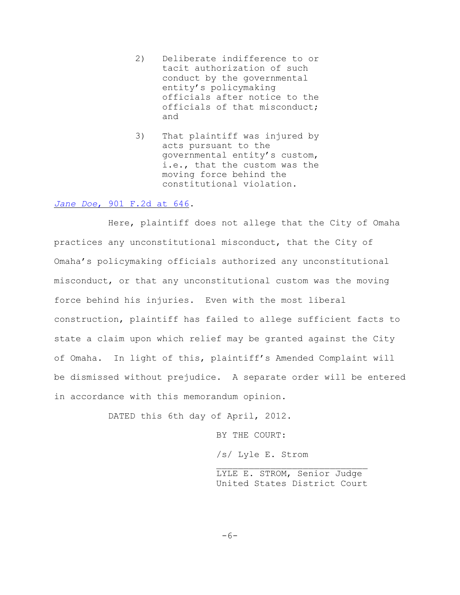- 2) Deliberate indifference to or tacit authorization of such conduct by the governmental entity's policymaking officials after notice to the officials of that misconduct; and
- 3) That plaintiff was injured by acts pursuant to the governmental entity's custom, i.e., that the custom was the moving force behind the constitutional violation.

### *Jane Doe*[, 901 F.2d at 646](http://www.westlaw.com/find/default.wl?rs=CLWP3.0&vr=2.0&cite=901+F.2d+646).

Here, plaintiff does not allege that the City of Omaha practices any unconstitutional misconduct, that the City of Omaha's policymaking officials authorized any unconstitutional misconduct, or that any unconstitutional custom was the moving force behind his injuries. Even with the most liberal construction, plaintiff has failed to allege sufficient facts to state a claim upon which relief may be granted against the City of Omaha. In light of this, plaintiff's Amended Complaint will be dismissed without prejudice. A separate order will be entered in accordance with this memorandum opinion.

DATED this 6th day of April, 2012.

BY THE COURT:

/s/ Lyle E. Strom

 $\mathcal{L}_\text{max}$ LYLE E. STROM, Senior Judge United States District Court

-6-